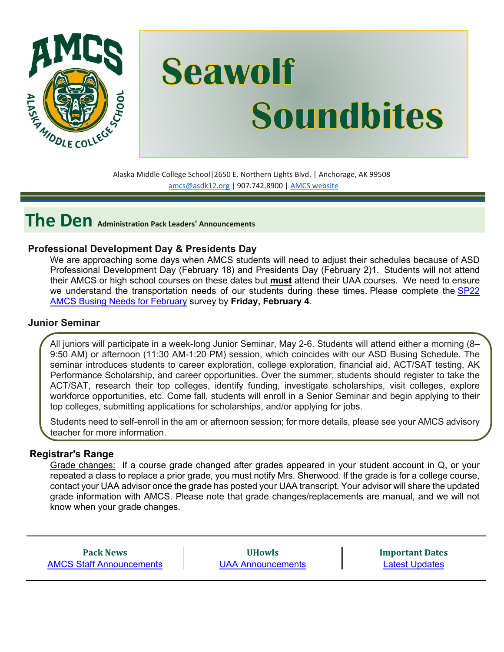

# **Seawolf Soundbites**

Alaska Middle College School|2650 E. Northern Lights Blvd. | Anchorage, AK 99508 [amcs@asdk12.org](mailto:amcs@asdk12.org) | 907.742.8900 | AMCS [website](https://www.asdk12.org/amcs)

**The Den Administration Pack Leaders' Announcements**

#### **Professional Development Day & Presidents Day**

We are approaching some days when AMCS students will need to adjust their schedules because of ASD Professional Development Day (February 18) and Presidents Day (February 2)1. Students will not attend their AMCS or high school courses on these dates but **must** attend their UAA courses. We need to ensure we understand the transportation needs of our students during these times. Please complete the [SP22](https://asdk12.qualtrics.com/jfe/form/SV_afMGaWFWnrBlOCi) AMCS Busing Needs for [February](https://asdk12.qualtrics.com/jfe/form/SV_afMGaWFWnrBlOCi) survey by **Friday, February 4**.

#### **Junior Seminar**

All juniors will participate in a week-long Junior Seminar, May 2-6. Students will attend either a morning (8– 9:50 AM) or afternoon (11:30 AM-1:20 PM) session, which coincides with our ASD Busing Schedule. The seminar introduces students to career exploration, college exploration, financial aid, ACT/SAT testing, AK Performance Scholarship, and career opportunities. Over the summer, students should register to take the ACT/SAT, research their top colleges, identify funding, investigate scholarships, visit colleges, explore workforce opportunities, etc. Come fall, students will enroll in a Senior Seminar and begin applying to their top colleges, submitting applications for scholarships, and/or applying for jobs.

Students need to self-enroll in the am or afternoon session; for more details, please see your AMCS advisory teacher for more information.

#### **Registrar's Range**

Grade changes: If a course grade changed after grades appeared in your student account in Q, or your repeated a class to replace a prior grade, you must notify Mrs. Sherwood. If the grade is for a college course, contact your UAA advisor once the grade has posted your UAA transcript. Your advisor will share the updated grade information with AMCS. Please note that grade changes/replacements are manual, and we will not know when your grade changes.

**Pack News** [AMCS Staff Announcements](#page-1-0)

**UHowls** [UAA Announcements](#page-3-0) **Important Dates** [Latest Updates](#page-3-1)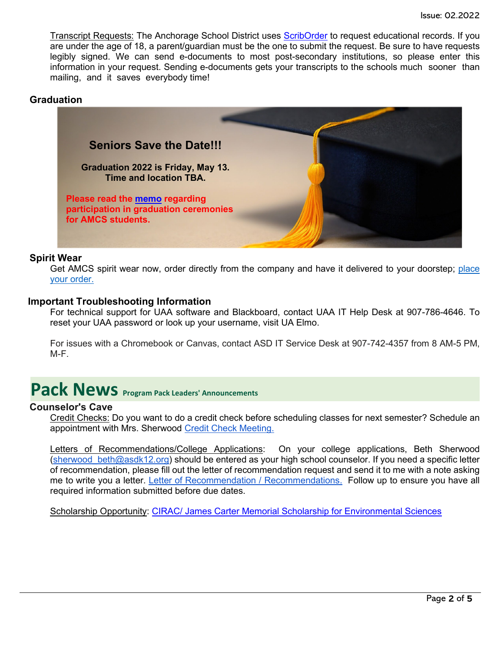Transcript Requests: The Anchorage School District uses [ScribOrder](https://anchorageak.scriborder.com/) to request educational records. If you are under the age of 18, a parent/guardian must be the one to submit the request. Be sure to have requests legibly signed. We can send e-documents to most post-secondary institutions, so please enter this information in your request. Sending e-documents gets your transcripts to the schools much sooner than mailing, and it saves everybody time!

#### **Graduation**



#### **Spirit Wear**

Get AMCS spirit wear now, order directly from the company and have it delivered to your doorstep; [place](http://www.tntsportsalaska.com/alaska-middle-college-school) your [order.](http://www.tntsportsalaska.com/alaska-middle-college-school)

#### **Important Troubleshooting Information**

For technical support for UAA software and Blackboard, contact UAA IT Help Desk at 907-786-4646. To reset your UAA password or look up your username, visit [UA Elmo.](https://elmo.alaska.edu/) 

For issues with a Chromebook or Canvas, contact ASD IT Service Desk at 907-742-4357 from 8 AM-5 PM, M-F.

## <span id="page-1-0"></span>**Pack News** Program Pack Leaders' Announcements

#### **Counselor's Cave**

Credit Checks: Do you want to do a credit check before scheduling classes for next semester? Schedule an appointment with Mrs. Sherwood [Credit Check Meeting.](https://calendly.com/amcs_counselor/consult-with-ms-sherwood)

Letters of Recommendations/College Applications: On your college applications, Beth Sherwood (sherwood beth@asdk12.org) should be entered as your high school counselor. If you need a specific letter of recommendation, please fill out the letter of recommendation request and send it to me with a note asking me to write you a letter. [Letter of Recommendation / Recommendations.](https://www.asdk12.org/domain/5808) Follow up to ensure you have all required information submitted before due dates.

Scholarship Opportunity: [CIRAC/ James Carter Memorial Scholarship for Environmental Sciences](https://www.asdk12.org/domain/4808)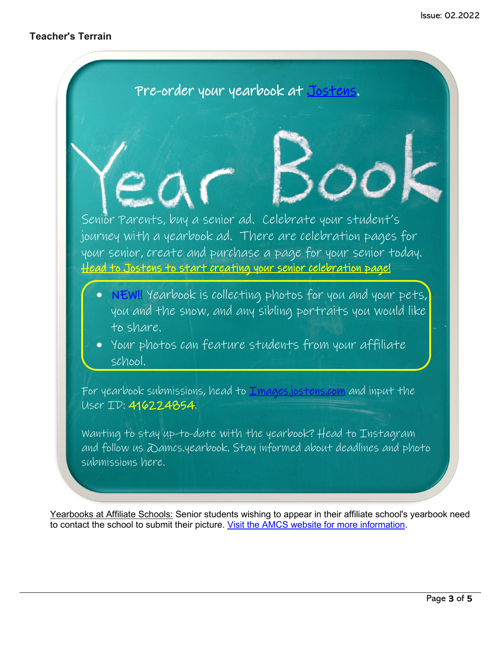

Yearbooks at Affiliate Schools: Senior students wishing to appear in their affiliate school's yearbook need to contact the school to submit their picture. [Visit the AMCS website for more information.](https://www.asdk12.org/Page/18701)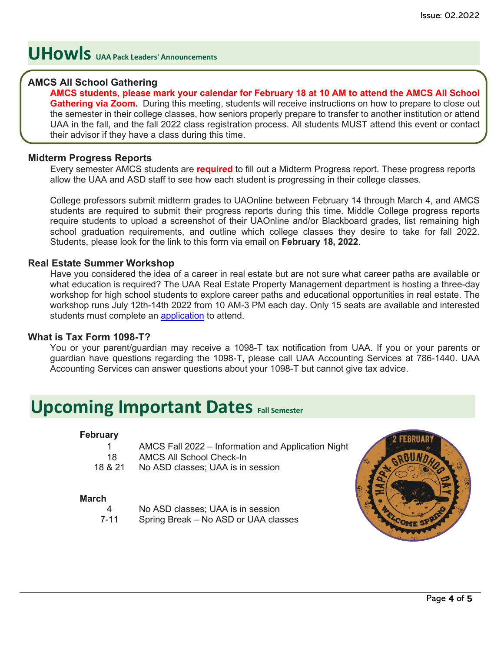## <span id="page-3-0"></span>**UHowls UAA Pack Leaders' Announcements**

#### **AMCS All School Gathering**

**AMCS students, please mark your calendar for February 18 at 10 AM to attend the AMCS All School Gathering via Zoom.** During this meeting, students will receive instructions on how to prepare to close out the semester in their college classes, how seniors properly prepare to transfer to another institution or attend UAA in the fall, and the fall 2022 class registration process. All students MUST attend this event or contact their advisor if they have a class during this time.

#### **Midterm Progress Reports**

Every semester AMCS students are **required** to fill out a Midterm Progress report. These progress reports allow the UAA and ASD staff to see how each student is progressing in their college classes.

College professors submit midterm grades to UAOnline between February 14 through March 4, and AMCS students are required to submit their progress reports during this time. Middle College progress reports require students to upload a screenshot of their UAOnline and/or Blackboard grades, list remaining high school graduation requirements, and outline which college classes they desire to take for fall 2022. Students, please look for the link to this form via email on **February 18, 2022**.

#### **Real Estate Summer Workshop**

Have you considered the idea of a career in real estate but are not sure what career paths are available or what education is required? The UAA Real Estate Property Management department is hosting a three-day workshop for high school students to explore career paths and educational opportunities in real estate. The workshop runs July 12th-14th 2022 from 10 AM-3 PM each day. Only 15 seats are available and interested students must complete an [application](https://nam12.safelinks.protection.outlook.com/?url=https%3A%2F%2Fbit.ly%2FREMI22&data=04%7C01%7Cgriffis_kimberly%40asdk12.org%7C3554457df3114d34255208d9df6029bd%7C036ce601e95a4e46a3bd6b742ed4bb35%7C0%7C0%7C637786426375301616%7CUnknown%7CTWFpbGZsb3d8eyJWIjoiMC4wLjAwMDAiLCJQIjoiV2luMzIiLCJBTiI6Ik1haWwiLCJXVCI6Mn0%3D%7C3000&sdata=U97fJ41Sl7MrEtGwExG6sXb1rW2bRkN%2FittXZVK5p%2B0%3D&reserved=0) to attend.

#### **What is Tax Form 1098-T?**

You or your parent/guardian may receive a 1098-T tax notification from UAA. If you or your parents or guardian have questions regarding the 1098-T, please call UAA Accounting Services at 786-1440. UAA Accounting Services can answer questions about your 1098-T but cannot give tax advice.

### <span id="page-3-1"></span>**Upcoming Important Dates Fall Semester**

#### **February**

|    | AMCS Fall 2022 – Information and Application Night |
|----|----------------------------------------------------|
| 18 | <b>AMCS All School Check-In</b>                    |

18 & 21 No ASD classes; UAA is in session

#### **March**

- No ASD classes; UAA is in session
- 7-11 Spring Break No ASD or UAA classes